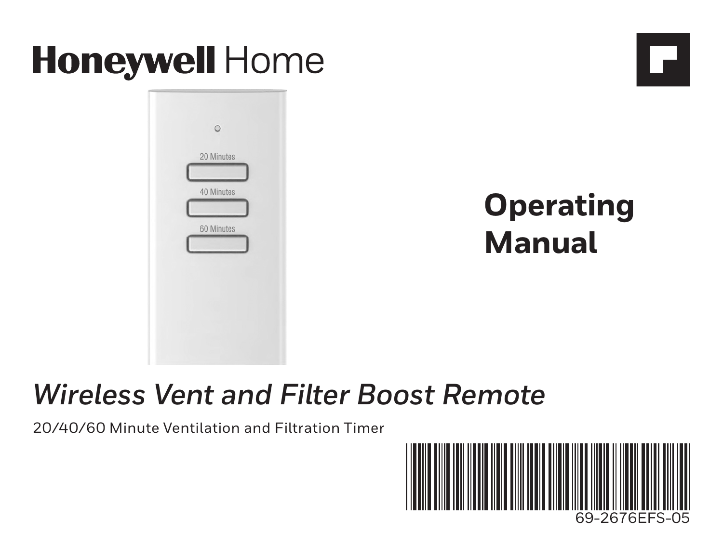

## *Wireless Vent and Filter Boost Remote*

20/40/60 Minute Ventilation and Filtration Timer

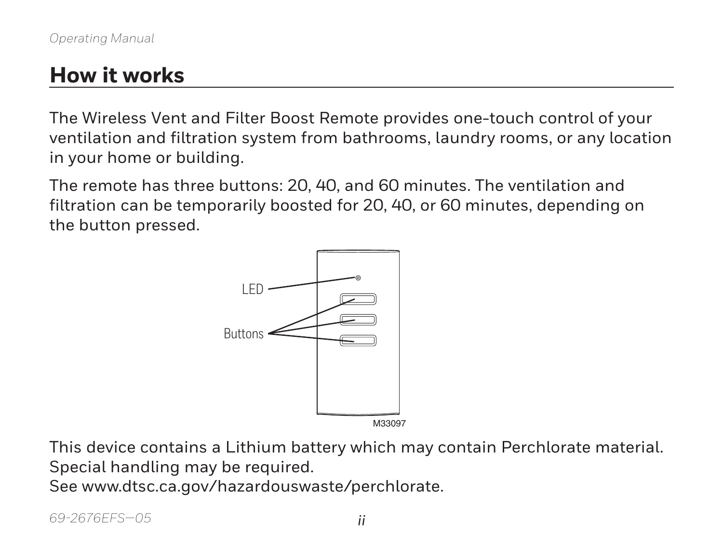### **How it works**

The Wireless Vent and Filter Boost Remote provides one-touch control of your ventilation and filtration system from bathrooms, laundry rooms, or any location in your home or building.

The remote has three buttons: 20, 40, and 60 minutes. The ventilation and filtration can be temporarily boosted for 20, 40, or 60 minutes, depending on the button pressed.



This device contains a Lithium battery which may contain Perchlorate material. Special handling may be required. See www.dtsc.ca.gov/hazardouswaste/perchlorate.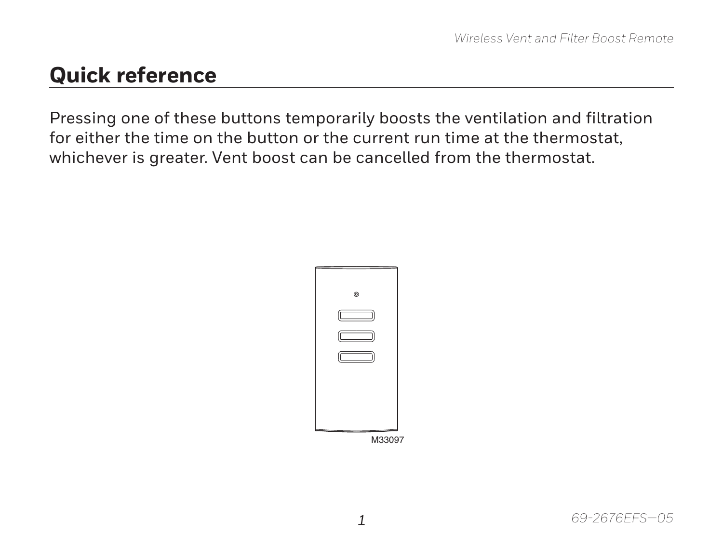#### **Quick reference**

Pressing one of these buttons temporarily boosts the ventilation and filtration for either the time on the button or the current run time at the thermostat, whichever is greater. Vent boost can be cancelled from the thermostat.

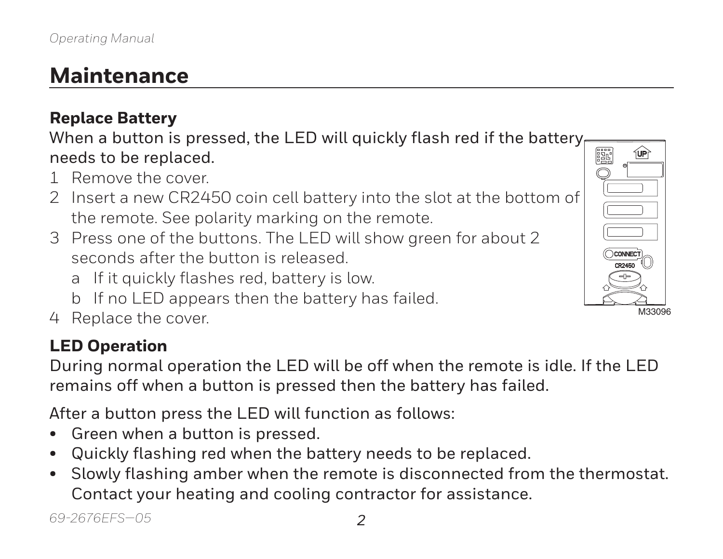## **Maintenance**

#### **Replace Battery**

When a button is pressed, the LED will quickly flash red if the battery. needs to be replaced.

- 1 Remove the cover.
- 2 Insert a new CR2450 coin cell battery into the slot at the bottom of the remote. See polarity marking on the remote.
- 3 Press one of the buttons. The LED will show green for about 2 seconds after the button is released.
	- a If it quickly flashes red, battery is low.
	- b If no LED appears then the battery has failed.
- 4 Replace the cover.

#### **LED Operation**

During normal operation the LED will be off when the remote is idle. If the LED remains off when a button is pressed then the battery has failed.

After a button press the LED will function as follows:

- Green when a button is pressed.
- Quickly flashing red when the battery needs to be replaced.
- Slowly flashing amber when the remote is disconnected from the thermostat. Contact your heating and cooling contractor for assistance.

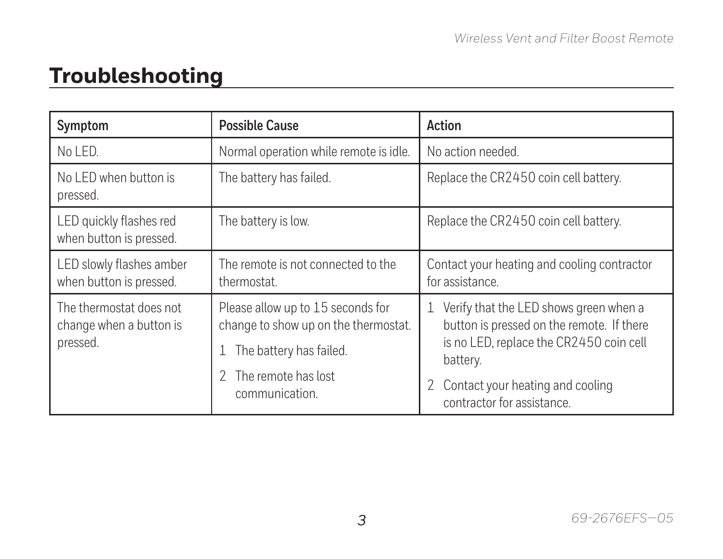## **Troubleshooting**

| Symptom                                                        | <b>Possible Cause</b>                                                                                                                         | Action                                                                                                                                                                                                              |
|----------------------------------------------------------------|-----------------------------------------------------------------------------------------------------------------------------------------------|---------------------------------------------------------------------------------------------------------------------------------------------------------------------------------------------------------------------|
| No LED.                                                        | Normal operation while remote is idle.                                                                                                        | No action needed.                                                                                                                                                                                                   |
| No LED when button is<br>pressed.                              | The battery has failed.                                                                                                                       | Replace the CR2450 coin cell battery.                                                                                                                                                                               |
| LED quickly flashes red<br>when button is pressed.             | The battery is low.                                                                                                                           | Replace the CR2450 coin cell battery.                                                                                                                                                                               |
| LED slowly flashes amber<br>when button is pressed.            | The remote is not connected to the<br>thermostat.                                                                                             | Contact your heating and cooling contractor<br>for assistance.                                                                                                                                                      |
| The thermostat does not<br>change when a button is<br>pressed. | Please allow up to 15 seconds for<br>change to show up on the thermostat.<br>The battery has failed.<br>The remote has lost<br>communication. | 1 Verify that the LED shows green when a<br>button is pressed on the remote. If there<br>is no LED, replace the CR2450 coin cell<br>battery.<br>Contact your heating and cooling<br>2<br>contractor for assistance. |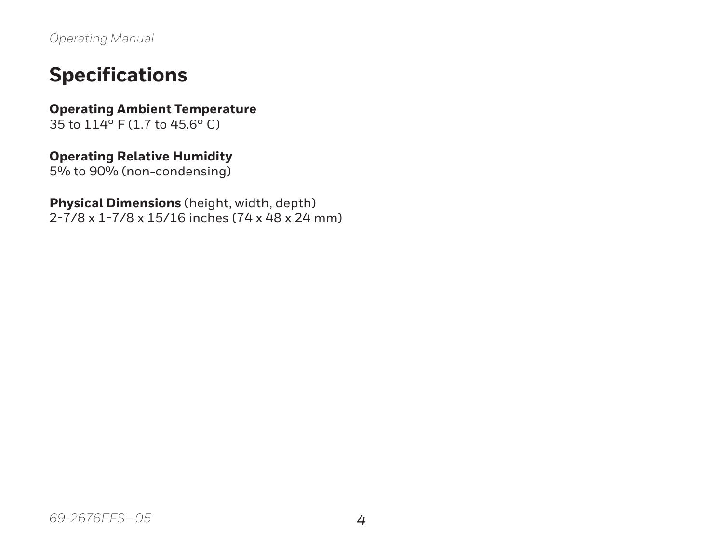*Operating Manual*

#### **Specifications**

**Operating Ambient Temperature** 35 to 114° F (1.7 to 45.6° C)

#### **Operating Relative Humidity**

5% to 90% (non-condensing)

#### **Physical Dimensions** (height, width, depth)

2-7/8 x 1-7/8 x 15/16 inches (74 x 48 x 24 mm)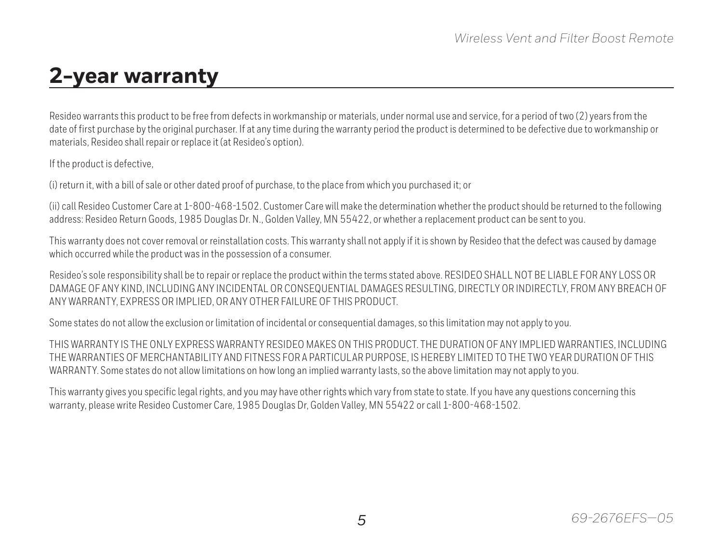#### **2-year warranty**

Resideo warrants this product to be free from defects in workmanship or materials, under normal use and service, for a period of two (2) years from the date of first purchase by the original purchaser. If at any time during the warranty period the product is determined to be defective due to workmanship or materials, Resideo shall repair or replace it (at Resideo's option).

If the product is defective,

(i) return it, with a bill of sale or other dated proof of purchase, to the place from which you purchased it; or

(ii) call Resideo Customer Care at 1-800-468-1502. Customer Care will make the determination whether the product should be returned to the following address: Resideo Return Goods, 1985 Douglas Dr. N., Golden Valley, MN 55422, or whether a replacement product can be sent to you.

This warranty does not cover removal or reinstallation costs. This warranty shall not apply if it is shown by Resideo that the defect was caused by damage which occurred while the product was in the possession of a consumer.

Resideo's sole responsibility shall be to repair or replace the product within the terms stated above. RESIDEO SHALL NOT BE LIABLE FOR ANY LOSS OR DAMAGE OF ANY KIND, INCLUDING ANY INCIDENTAL OR CONSEQUENTIAL DAMAGES RESULTING, DIRECTLY OR INDIRECTLY, FROM ANY BREACH OF ANY WARRANTY, EXPRESS OR IMPLIED, OR ANY OTHER FAILURE OF THIS PRODUCT.

Some states do not allow the exclusion or limitation of incidental or consequential damages, so this limitation may not apply to you.

THIS WARRANTY IS THE ONLY EXPRESS WARRANTY RESIDEO MAKES ON THIS PRODUCT. THE DURATION OF ANY IMPLIED WARRANTIES, INCLUDING THE WARRANTIES OF MERCHANTABILITY AND FITNESS FOR A PARTICULAR PURPOSE, IS HEREBY LIMITED TO THE TWO YEAR DURATION OF THIS WARRANTY. Some states do not allow limitations on how long an implied warranty lasts, so the above limitation may not apply to you.

This warranty gives you specific legal rights, and you may have other rights which vary from state to state. If you have any questions concerning this warranty, please write Resideo Customer Care, 1985 Douglas Dr, Golden Valley, MN 55422 or call 1-800-468-1502.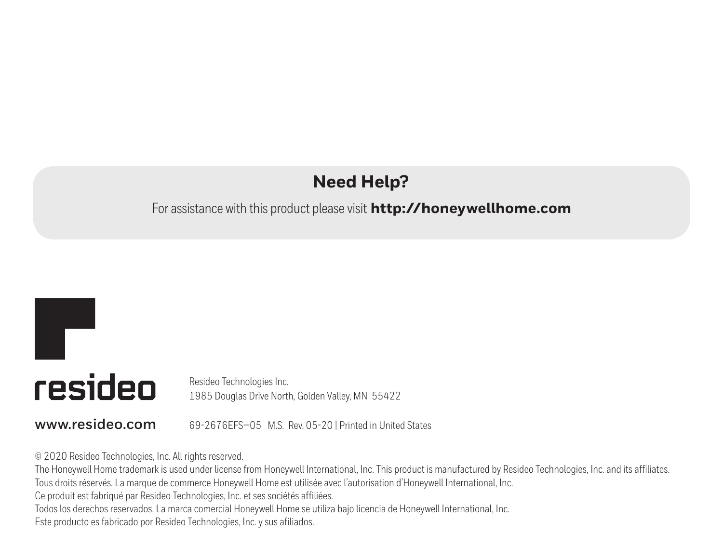#### **Need Help?**

#### For assistance with this product please visit **http://honeywellhome.com**

# T resideo

Resideo Technologies Inc. 1985 Douglas Drive North, Golden Valley, MN 55422

**www.resideo.com** 69-2676EFS—05 M.S. Rev. 05-20 | Printed in United States

© 2020 Resideo Technologies, Inc. All rights reserved.

The Honeywell Home trademark is used under license from Honeywell International, Inc. This product is manufactured by Resideo Technologies, Inc. and its affiliates. Tous droits réservés. La marque de commerce Honeywell Home est utilisée avec l'autorisation d'Honeywell International, Inc.

Ce produit est fabriqué par Resideo Technologies, Inc. et ses sociétés affiliées.

Todos los derechos reservados. La marca comercial Honeywell Home se utiliza bajo licencia de Honeywell International, Inc.

Este producto es fabricado por Resideo Technologies, Inc. y sus afiliados.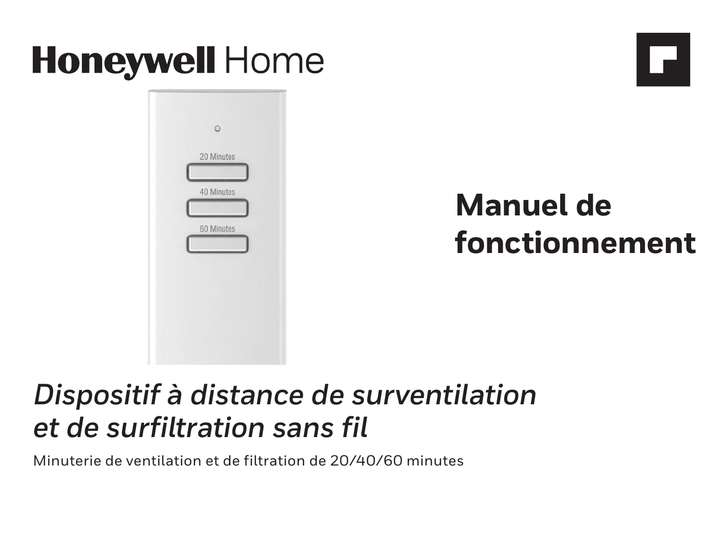# **Honeywell Home**



# **Manuel de fonctionnement**

# *Dispositif à distance de surventilation et de surfiltration sans fil*

Minuterie de ventilation et de filtration de 20/40/60 minutes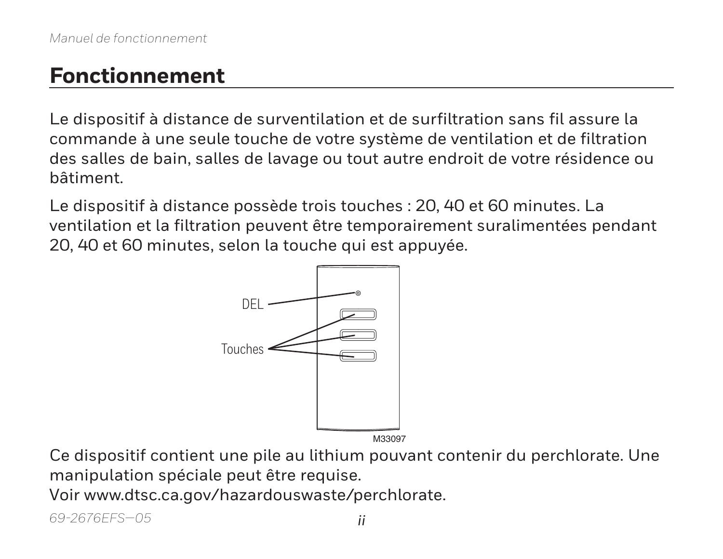#### **Fonctionnement**

Le dispositif à distance de surventilation et de surfiltration sans fil assure la commande à une seule touche de votre système de ventilation et de filtration des salles de bain, salles de lavage ou tout autre endroit de votre résidence ou bâtiment.

Le dispositif à distance possède trois touches : 20, 40 et 60 minutes. La ventilation et la filtration peuvent être temporairement suralimentées pendant 20, 40 et 60 minutes, selon la touche qui est appuyée.



Ce dispositif contient une pile au lithium pouvant contenir du perchlorate. Une manipulation spéciale peut être requise.

Voir www.dtsc.ca.gov/hazardouswaste/perchlorate.

*69-2676EFS—05 ii*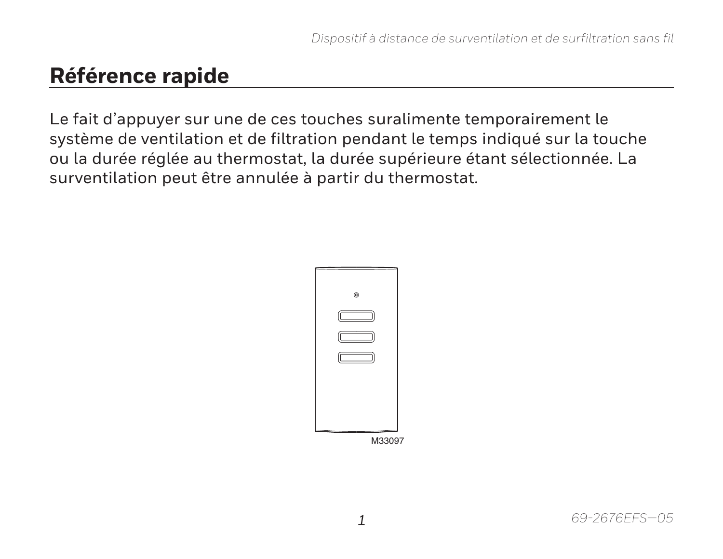#### **Référence rapide**

Le fait d'appuyer sur une de ces touches suralimente temporairement le système de ventilation et de filtration pendant le temps indiqué sur la touche ou la durée réglée au thermostat, la durée supérieure étant sélectionnée. La surventilation peut être annulée à partir du thermostat.

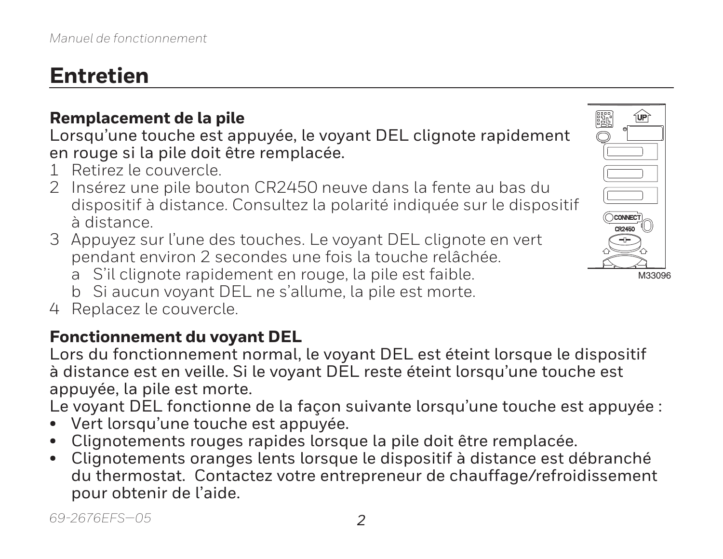## **Entretien**

#### **Remplacement de la pile**

Lorsqu'une touche est appuyée, le voyant DEL clignote rapidement en rouge si la pile doit être remplacée.

- 1 Retirez le couvercle.
- 2 Insérez une pile bouton CR2450 neuve dans la fente au bas du dispositif à distance. Consultez la polarité indiquée sur le dispositif à distance.
- 3 Appuyez sur l'une des touches. Le voyant DEL clignote en vert pendant environ 2 secondes une fois la touche relâchée.
	- a S'il clignote rapidement en rouge, la pile est faible.
	- b Si aucun voyant DEL ne s'allume, la pile est morte.
- 4 Replacez le couvercle.

#### **Fonctionnement du voyant DEL**

Lors du fonctionnement normal, le voyant DEL est éteint lorsque le dispositif à distance est en veille. Si le voyant DEL reste éteint lorsqu'une touche est appuyée, la pile est morte.

Le voyant DEL fonctionne de la façon suivante lorsqu'une touche est appuyée :

- Vert lorsqu'une touche est appuyée.
- Clignotements rouges rapides lorsque la pile doit être remplacée.
- Clignotements oranges lents lorsque le dispositif à distance est débranché du thermostat. Contactez votre entrepreneur de chauffage/refroidissement pour obtenir de l'aide.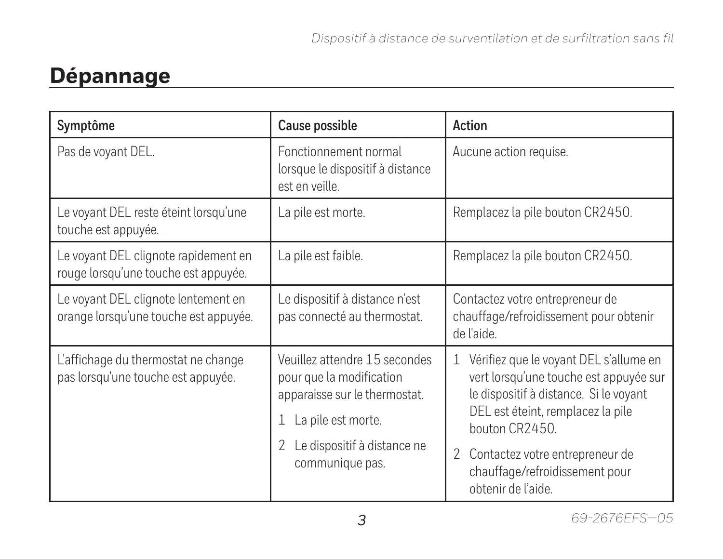### **Dépannage**

| Symptôme                                                                     | Cause possible                                                                                                                                                            | Action                                                                                                                                                                                                                                                                                 |
|------------------------------------------------------------------------------|---------------------------------------------------------------------------------------------------------------------------------------------------------------------------|----------------------------------------------------------------------------------------------------------------------------------------------------------------------------------------------------------------------------------------------------------------------------------------|
| Pas de voyant DEL.                                                           | Fonctionnement normal<br>lorsque le dispositif à distance<br>est en veille.                                                                                               | Aucune action requise.                                                                                                                                                                                                                                                                 |
| Le voyant DEL reste éteint lorsqu'une<br>touche est appuyée.                 | La pile est morte.                                                                                                                                                        | Remplacez la pile bouton CR2450.                                                                                                                                                                                                                                                       |
| Le voyant DEL clignote rapidement en<br>rouge lorsqu'une touche est appuyée. | La pile est faible.                                                                                                                                                       | Remplacez la pile bouton CR2450.                                                                                                                                                                                                                                                       |
| Le voyant DEL clignote lentement en<br>orange lorsqu'une touche est appuyée. | Le dispositif à distance n'est<br>pas connecté au thermostat.                                                                                                             | Contactez votre entrepreneur de<br>chauffage/refroidissement pour obtenir<br>de l'aide.                                                                                                                                                                                                |
| L'affichage du thermostat ne change<br>pas lorsqu'une touche est appuyée.    | Veuillez attendre 15 secondes<br>pour que la modification<br>apparaisse sur le thermostat.<br>1 La pile est morte.<br>Le dispositif à distance ne<br>2<br>communique pas. | Vérifiez que le voyant DEL s'allume en<br>1<br>vert lorsqu'une touche est appuyée sur<br>le dispositif à distance. Si le voyant<br>DEL est éteint, remplacez la pile<br>bouton CR2450.<br>Contactez votre entrepreneur de<br>2<br>chauffage/refroidissement pour<br>obtenir de l'aide. |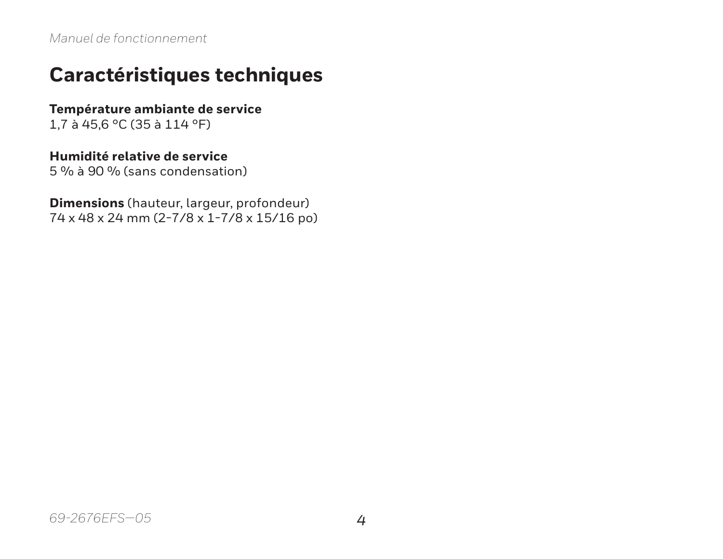#### **Caractéristiques techniques**

**Température ambiante de service**

1,7 à 45,6 °C (35 à 114 °F)

#### **Humidité relative de service**

5 % à 90 % (sans condensation)

**Dimensions** (hauteur, largeur, profondeur) 74 x 48 x 24 mm (2-7/8 x 1-7/8 x 15/16 po)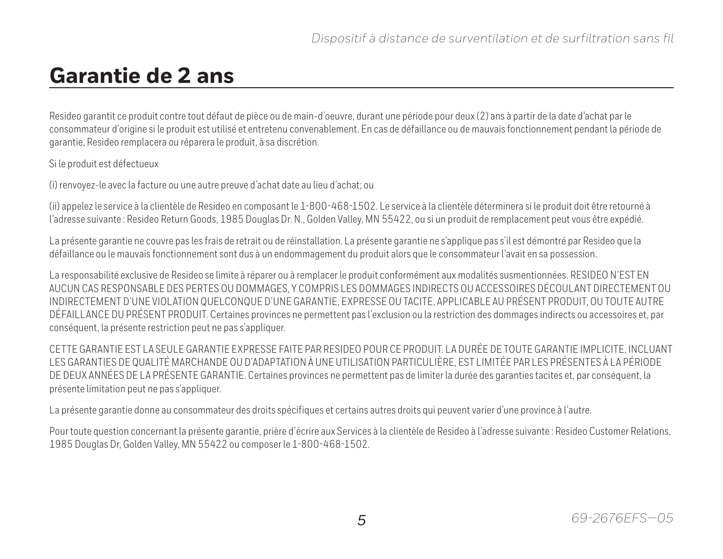#### **Garantie de 2 ans**

Resideo garantit ce produit contre tout défaut de pièce ou de main-d'oeuvre, durant une période pour deux (2) ans à partir de la date d'achat par le consommateur d'origine si le produit est utilisé et entretenu convenablement. En cas de défaillance ou de mauvais fonctionnement pendant la période de garantie, Resideo remplacera ou réparera le produit, à sa discrétion.

Si le produit est défectueux

(i) renvoyez-le avec la facture ou une autre preuve d'achat date au lieu d'achat; ou

(ii) appelez le service à la clientèle de Resideo en composant le 1-800-468-1502. Le service à la clientèle déterminera si le produit doit être retourné à l'adresse suivante : Resideo Return Goods, 1985 Douglas Dr. N., Golden Valley, MN 55422, ou si un produit de remplacement peut vous être expédié.

La présente garantie ne couvre pas les frais de retrait ou de réinstallation. La présente garantie ne s'applique pas s'il est démontré par Resideo que la défaillance ou le mauvais fonctionnement sont dus à un endommagement du produit alors que le consommateur l'avait en sa possession.

La responsabilité exclusive de Resideo se limite à réparer ou à remplacer le produit conformément aux modalités susmentionnées. RESIDEO N'EST EN AUCUN CAS RESPONSABLE DES PERTES OU DOMMAGES, Y COMPRIS LES DOMMAGES INDIRECTS OU ACCESSOIRES DÉCOULANT DIRECTEMENT OU INDIRECTEMENT D'UNE VIOLATION QUELCONQUE D'UNE GARANTIE, EXPRESSE OU TACITE, APPLICABLE AU PRÉSENT PRODUIT, OU TOUTE AUTRE DÉFAILLANCE DU PRÉSENT PRODUIT. Certaines provinces ne permettent pas l'exclusion ou la restriction des dommages indirects ou accessoires et, par conséquent, la présente restriction peut ne pas s'appliquer.

CETTE GARANTIE EST LA SEULE GARANTIE EXPRESSE FAITE PAR RESIDEO POUR CE PRODUIT. LA DURÉE DE TOUTE GARANTIE IMPLICITE, INCLUANT LES GARANTIES DE QUALITÉ MARCHANDE OU D'ADAPTATION À UNE UTILISATION PARTICULIÈRE, EST LIMITÉE PAR LES PRÉSENTES À LA PÉRIODE DE DEUX ANNÉES DE LA PRÉSENTE GARANTIE. Certaines provinces ne permettent pas de limiter la durée des garanties tacites et, par conséquent, la présente limitation peut ne pas s'appliquer.

La présente garantie donne au consommateur des droits spécifiques et certains autres droits qui peuvent varier d'une province à l'autre.

Pour toute question concernant la présente garantie, prière d'écrire aux Services à la clientèle de Resideo à l'adresse suivante : Resideo Customer Relations, 1985 Douglas Dr, Golden Valley, MN 55422 ou composer le 1-800-468-1502.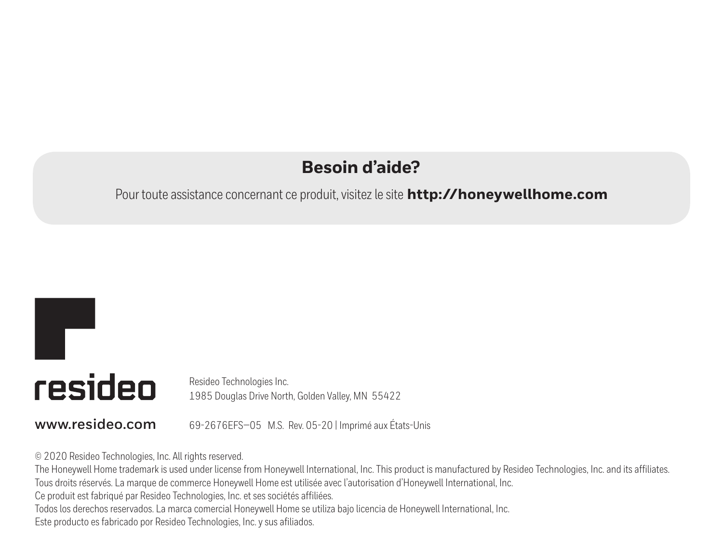#### **Besoin d'aide?**

#### Pour toute assistance concernant ce produit, visitez le site **http://honeywellhome.com**

# T resideo

Resideo Technologies Inc. 1985 Douglas Drive North, Golden Valley, MN 55422

**www.resideo.com** 69-2676EFS—05 M.S. Rev. 05-20 | Imprimé aux États-Unis

© 2020 Resideo Technologies, Inc. All rights reserved.

The Honeywell Home trademark is used under license from Honeywell International, Inc. This product is manufactured by Resideo Technologies, Inc. and its affiliates. Tous droits réservés. La marque de commerce Honeywell Home est utilisée avec l'autorisation d'Honeywell International, Inc.

Ce produit est fabriqué par Resideo Technologies, Inc. et ses sociétés affiliées.

Todos los derechos reservados. La marca comercial Honeywell Home se utiliza bajo licencia de Honeywell International, Inc.

Este producto es fabricado por Resideo Technologies, Inc. y sus afiliados.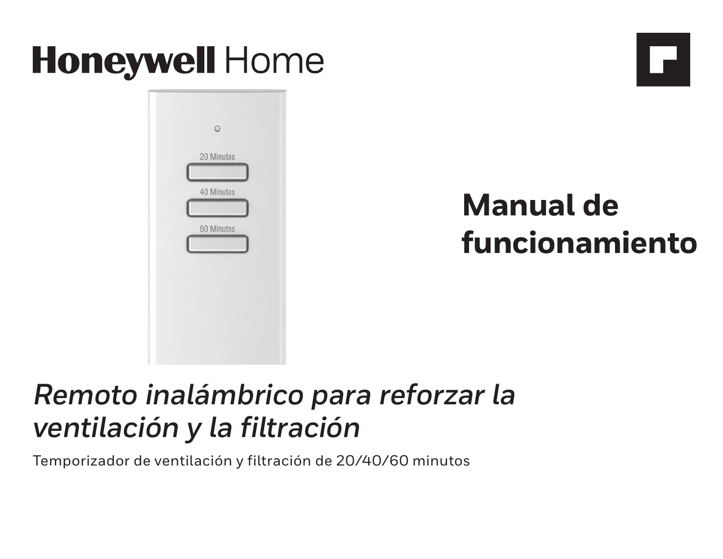# **Honeywell Home**



**Manual de funcionamiento**

H

# *Remoto inalámbrico para reforzar la ventilación y la filtración*

Temporizador de ventilación y filtración de 20/40/60 minutos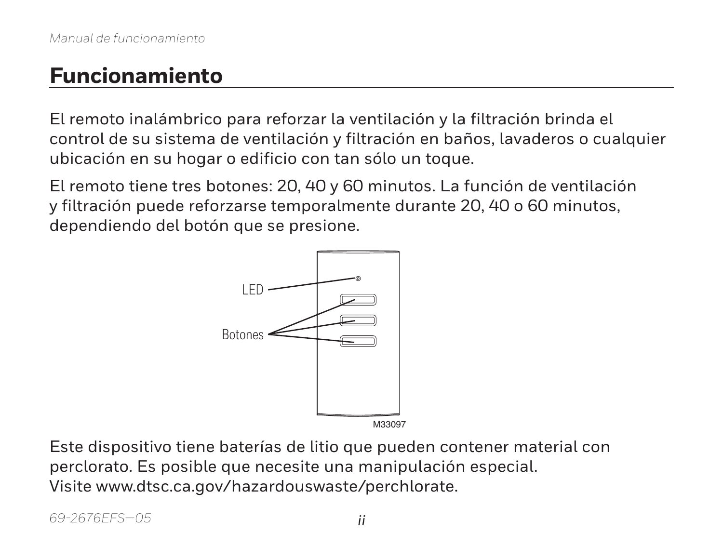#### **Funcionamiento**

El remoto inalámbrico para reforzar la ventilación y la filtración brinda el control de su sistema de ventilación y filtración en baños, lavaderos o cualquier ubicación en su hogar o edificio con tan sólo un toque.

El remoto tiene tres botones: 20, 40 y 60 minutos. La función de ventilación y filtración puede reforzarse temporalmente durante 20, 40 o 60 minutos, dependiendo del botón que se presione.



Este dispositivo tiene baterías de litio que pueden contener material con perclorato. Es posible que necesite una manipulación especial. Visite www.dtsc.ca.gov/hazardouswaste/perchlorate.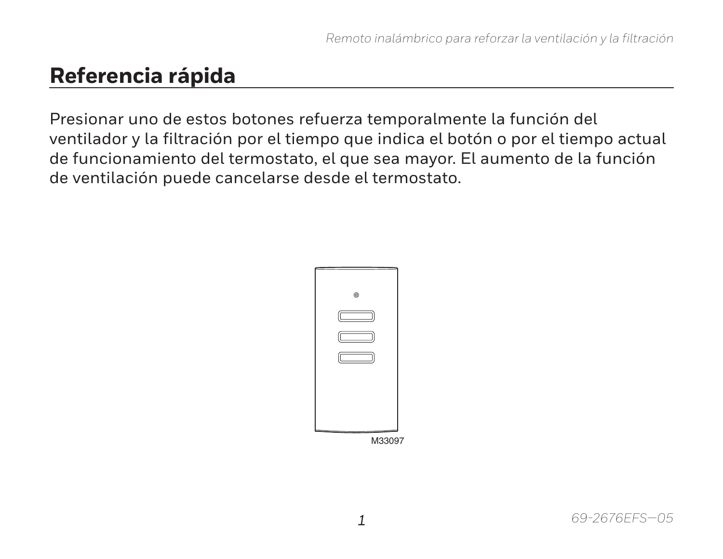#### **Referencia rápida**

Presionar uno de estos botones refuerza temporalmente la función del ventilador y la filtración por el tiempo que indica el botón o por el tiempo actual de funcionamiento del termostato, el que sea mayor. El aumento de la función de ventilación puede cancelarse desde el termostato.

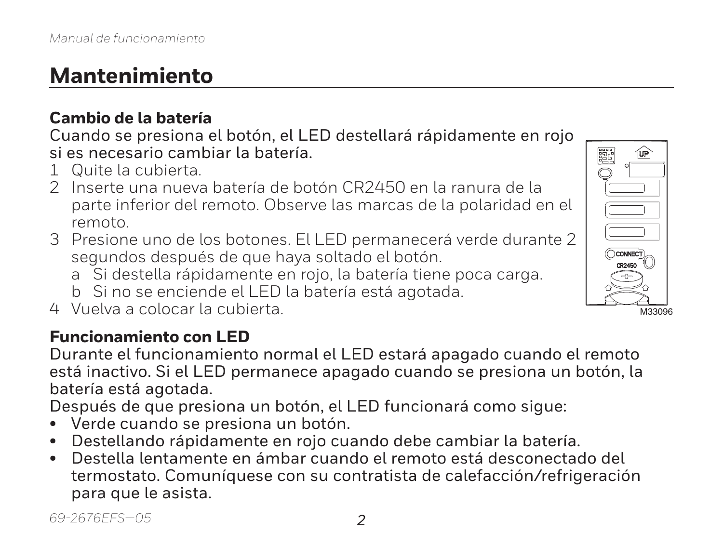## **Mantenimiento**

#### **Cambio de la batería**

Cuando se presiona el botón, el LED destellará rápidamente en rojo si es necesario cambiar la batería.

- 1 Quite la cubierta.
- 2 Inserte una nueva batería de botón CR2450 en la ranura de la parte inferior del remoto. Observe las marcas de la polaridad en el remoto.
- 3 Presione uno de los botones. El LED permanecerá verde durante 2 segundos después de que haya soltado el botón.
	- a Si destella rápidamente en rojo, la batería tiene poca carga.
	- b Si no se enciende el LED la batería está agotada.
- 4 Vuelva a colocar la cubierta.

#### **Funcionamiento con LED**

Durante el funcionamiento normal el LED estará apagado cuando el remoto está inactivo. Si el LED permanece apagado cuando se presiona un botón, la batería está agotada.

Después de que presiona un botón, el LED funcionará como sigue:

- Verde cuando se presiona un botón.
- Destellando rápidamente en rojo cuando debe cambiar la batería.
- Destella lentamente en ámbar cuando el remoto está desconectado del termostato. Comuníquese con su contratista de calefacción/refrigeración para que le asista.

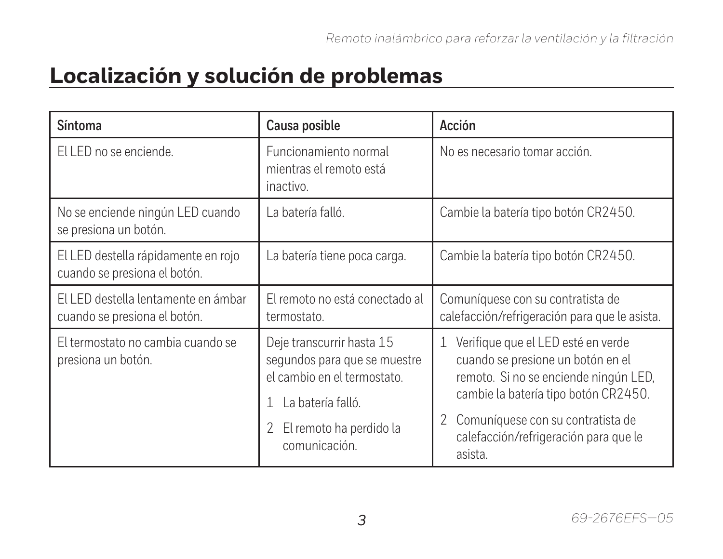### **Localización y solución de problemas**

| Síntoma                                                             | Causa posible                                                                                                                                                                  | Acción                                                                                                                                                                                                                                                                 |
|---------------------------------------------------------------------|--------------------------------------------------------------------------------------------------------------------------------------------------------------------------------|------------------------------------------------------------------------------------------------------------------------------------------------------------------------------------------------------------------------------------------------------------------------|
| FLLFD no se enciende.                                               | Funcionamiento normal<br>mientras el remoto está<br>inactivo.                                                                                                                  | No es necesario tomar acción.                                                                                                                                                                                                                                          |
| No se enciende ningún LED cuando<br>se presiona un botón.           | La batería falló.                                                                                                                                                              | Cambie la batería tipo botón CR2450.                                                                                                                                                                                                                                   |
| El LED destella rápidamente en rojo<br>cuando se presiona el botón. | La batería tiene poca carga.                                                                                                                                                   | Cambie la batería tipo botón CR2450.                                                                                                                                                                                                                                   |
| FLLFD destella lentamente en ámbar<br>cuando se presiona el botón.  | El remoto no está conectado al<br>termostato.                                                                                                                                  | Comuníquese con su contratista de<br>calefacción/refrigeración para que le asista.                                                                                                                                                                                     |
| El termostato no cambia cuando se<br>presiona un botón.             | Deje transcurrir hasta 15<br>segundos para que se muestre<br>el cambio en el termostato.<br>La batería falló.<br>$\mathbf{1}$<br>El remoto ha perdido la<br>2<br>comunicación. | Verifique que el LED esté en verde<br>$\mathbf{1}$<br>cuando se presione un botón en el<br>remoto. Si no se enciende ningún LED,<br>cambie la batería tipo botón CR2450.<br>Comuníquese con su contratista de<br>2<br>calefacción/refrigeración para que le<br>asista. |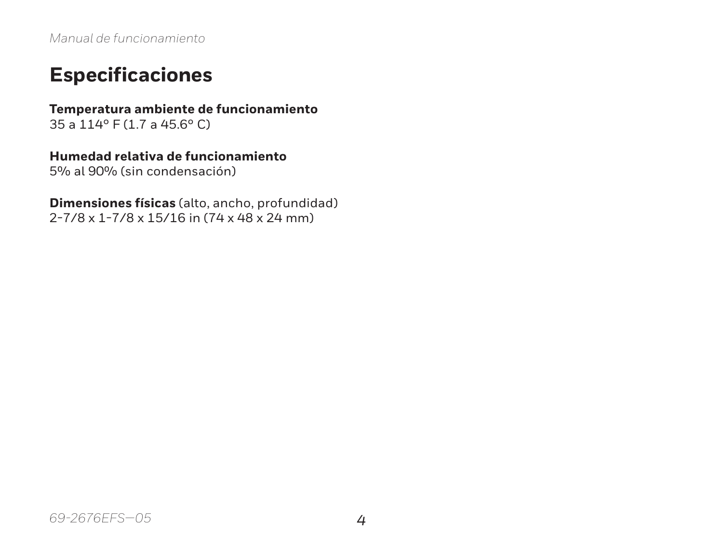#### **Especificaciones**

**Temperatura ambiente de funcionamiento** 35 a 114° F (1.7 a 45.6° C)

**Humedad relativa de funcionamiento**

5% al 90% (sin condensación)

**Dimensiones físicas** (alto, ancho, profundidad) 2-7/8 x 1-7/8 x 15/16 in (74 x 48 x 24 mm)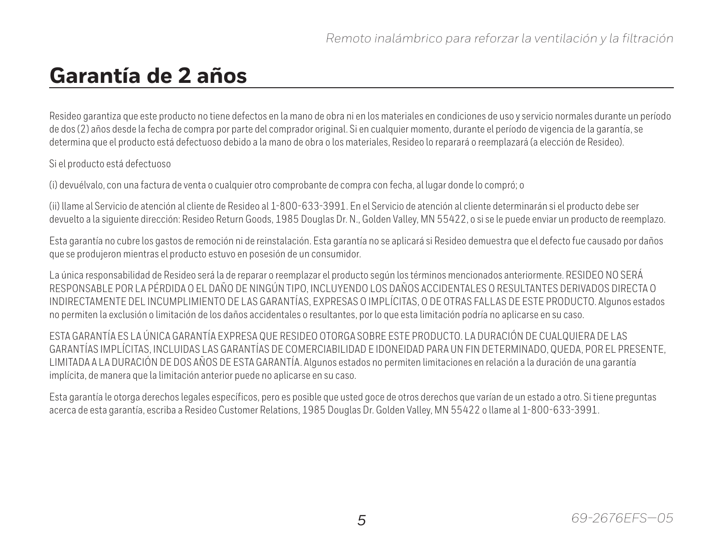#### **Garantía de 2 años**

Resideo garantiza que este producto no tiene defectos en la mano de obra ni en los materiales en condiciones de uso y servicio normales durante un período de dos (2) años desde la fecha de compra por parte del comprador original. Si en cualquier momento, durante el período de vigencia de la garantía, se determina que el producto está defectuoso debido a la mano de obra o los materiales, Resideo lo reparará o reemplazará (a elección de Resideo).

Si el producto está defectuoso

(i) devuélvalo, con una factura de venta o cualquier otro comprobante de compra con fecha, al lugar donde lo compró; o

(ii) llame al Servicio de atención al cliente de Resideo al 1-800-633-3991. En el Servicio de atención al cliente determinarán si el producto debe ser devuelto a la siguiente dirección: Resideo Return Goods, 1985 Douglas Dr. N., Golden Valley, MN 55422, o si se le puede enviar un producto de reemplazo.

Esta garantía no cubre los gastos de remoción ni de reinstalación. Esta garantía no se aplicará si Resideo demuestra que el defecto fue causado por daños que se produjeron mientras el producto estuvo en posesión de un consumidor.

La única responsabilidad de Resideo será la de reparar o reemplazar el producto según los términos mencionados anteriormente. RESIDEO NO SERÁ RESPONSABLE POR LA PÉRDIDA O EL DAÑO DE NINGÚN TIPO, INCLUYENDO LOS DAÑOS ACCIDENTALES O RESULTANTES DERIVADOS DIRECTA O INDIRECTAMENTE DEL INCUMPLIMIENTO DE LAS GARANTÍAS, EXPRESAS O IMPLÍCITAS, O DE OTRAS FALLAS DE ESTE PRODUCTO. Algunos estados no permiten la exclusión o limitación de los daños accidentales o resultantes, por lo que esta limitación podría no aplicarse en su caso.

ESTA GARANTÍA ES LA ÚNICA GARANTÍA EXPRESA QUE RESIDEO OTORGA SOBRE ESTE PRODUCTO. LA DURACIÓN DE CUALQUIERA DE LAS GARANTÍAS IMPLÍCITAS, INCLUIDAS LAS GARANTÍAS DE COMERCIABILIDAD E IDONEIDAD PARA UN FIN DETERMINADO, QUEDA, POR EL PRESENTE, LIMITADA A LA DURACIÓN DE DOS AÑOS DE ESTA GARANTÍA. Algunos estados no permiten limitaciones en relación a la duración de una garantía implícita, de manera que la limitación anterior puede no aplicarse en su caso.

Esta garantía le otorga derechos legales específicos, pero es posible que usted goce de otros derechos que varían de un estado a otro. Si tiene preguntas acerca de esta garantía, escriba a Resideo Customer Relations, 1985 Douglas Dr. Golden Valley, MN 55422 o llame al 1-800-633-3991.